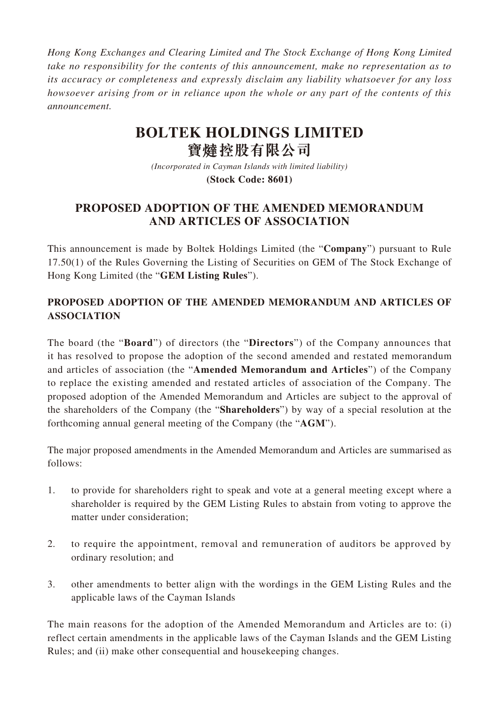*Hong Kong Exchanges and Clearing Limited and The Stock Exchange of Hong Kong Limited take no responsibility for the contents of this announcement, make no representation as to its accuracy or completeness and expressly disclaim any liability whatsoever for any loss howsoever arising from or in reliance upon the whole or any part of the contents of this announcement.*

## **BOLTEK HOLDINGS LIMITED 寶** 控股有限公司

*(Incorporated in Cayman Islands with limited liability)* **(Stock Code: 8601)**

## **PROPOSED ADOPTION OF THE AMENDED MEMORANDUM AND ARTICLES OF ASSOCIATION**

This announcement is made by Boltek Holdings Limited (the "**Company**") pursuant to Rule 17.50(1) of the Rules Governing the Listing of Securities on GEM of The Stock Exchange of Hong Kong Limited (the "**GEM Listing Rules**").

## **PROPOSED ADOPTION OF THE AMENDED MEMORANDUM AND ARTICLES OF ASSOCIATION**

The board (the "**Board**") of directors (the "**Directors**") of the Company announces that it has resolved to propose the adoption of the second amended and restated memorandum and articles of association (the "**Amended Memorandum and Articles**") of the Company to replace the existing amended and restated articles of association of the Company. The proposed adoption of the Amended Memorandum and Articles are subject to the approval of the shareholders of the Company (the "**Shareholders**") by way of a special resolution at the forthcoming annual general meeting of the Company (the "**AGM**").

The major proposed amendments in the Amended Memorandum and Articles are summarised as follows:

- 1. to provide for shareholders right to speak and vote at a general meeting except where a shareholder is required by the GEM Listing Rules to abstain from voting to approve the matter under consideration;
- 2. to require the appointment, removal and remuneration of auditors be approved by ordinary resolution; and
- 3. other amendments to better align with the wordings in the GEM Listing Rules and the applicable laws of the Cayman Islands

The main reasons for the adoption of the Amended Memorandum and Articles are to: (i) reflect certain amendments in the applicable laws of the Cayman Islands and the GEM Listing Rules; and (ii) make other consequential and housekeeping changes.